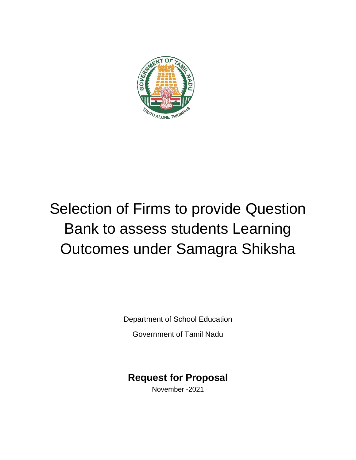

# Selection of Firms to provide Question Bank to assess students Learning Outcomes under Samagra Shiksha

Department of School Education

Government of Tamil Nadu

## **Request for Proposal**

November -2021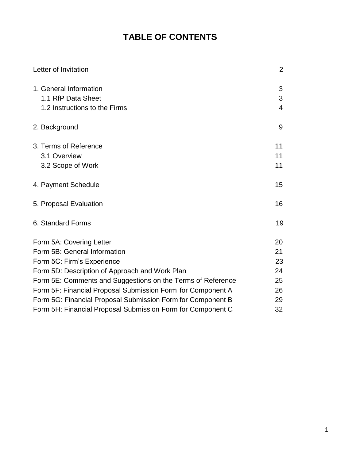## **TABLE OF CONTENTS**

| Letter of Invitation                                        | $\overline{2}$ |
|-------------------------------------------------------------|----------------|
| 1. General Information                                      | 3              |
| 1.1 RfP Data Sheet                                          | 3              |
| 1.2 Instructions to the Firms                               | $\overline{4}$ |
| 2. Background                                               | 9              |
| 3. Terms of Reference                                       | 11             |
| 3.1 Overview                                                | 11             |
| 3.2 Scope of Work                                           | 11             |
| 4. Payment Schedule                                         | 15             |
| 5. Proposal Evaluation                                      | 16             |
| 6. Standard Forms                                           | 19             |
| Form 5A: Covering Letter                                    | 20             |
| Form 5B: General Information                                | 21             |
| Form 5C: Firm's Experience                                  | 23             |
| Form 5D: Description of Approach and Work Plan              | 24             |
| Form 5E: Comments and Suggestions on the Terms of Reference | 25             |
| Form 5F: Financial Proposal Submission Form for Component A | 26             |
| Form 5G: Financial Proposal Submission Form for Component B | 29             |
| Form 5H: Financial Proposal Submission Form for Component C | 32             |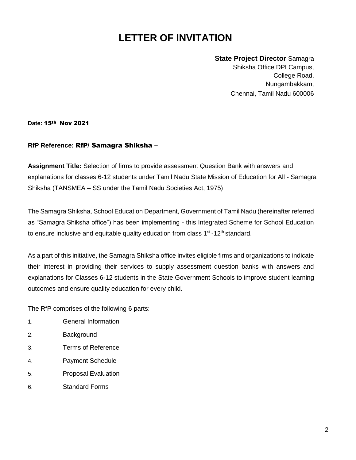## **LETTER OF INVITATION**

**State Project Director** Samagra Shiksha Office DPI Campus, College Road, Nungambakkam, Chennai, Tamil Nadu 600006

**Date:** 15th Nov 2021

#### **RfP Reference:** RfP/ Samagra Shiksha –

**Assignment Title:** Selection of firms to provide assessment Question Bank with answers and explanations for classes 6-12 students under Tamil Nadu State Mission of Education for All - Samagra Shiksha (TANSMEA – SS under the Tamil Nadu Societies Act, 1975)

The Samagra Shiksha, School Education Department, Government of Tamil Nadu (hereinafter referred as "Samagra Shiksha office") has been implementing - this Integrated Scheme for School Education to ensure inclusive and equitable quality education from class  $1<sup>st</sup>$ -12<sup>th</sup> standard.

As a part of this initiative, the Samagra Shiksha office invites eligible firms and organizations to indicate their interest in providing their services to supply assessment question banks with answers and explanations for Classes 6-12 students in the State Government Schools to improve student learning outcomes and ensure quality education for every child.

The RfP comprises of the following 6 parts:

- 1. General Information
- 2. Background
- 3. Terms of Reference
- 4. Payment Schedule
- 5. Proposal Evaluation
- 6. Standard Forms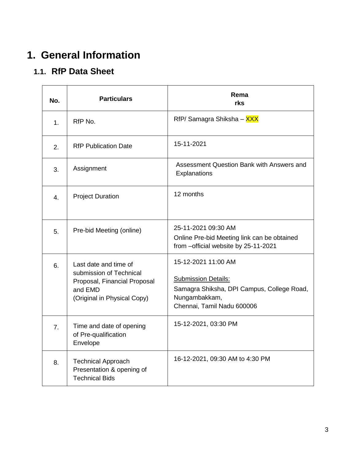## **1. General Information**

## **1.1. RfP Data Sheet**

| No.            | <b>Particulars</b>                                                                                                         | Rema<br>rks                                                                                                                                    |
|----------------|----------------------------------------------------------------------------------------------------------------------------|------------------------------------------------------------------------------------------------------------------------------------------------|
| 1.             | RfP No.                                                                                                                    | RfP/ Samagra Shiksha - XXX                                                                                                                     |
| 2.             | <b>RfP Publication Date</b>                                                                                                | 15-11-2021                                                                                                                                     |
| 3.             | Assignment                                                                                                                 | Assessment Question Bank with Answers and<br>Explanations                                                                                      |
| 4.             | <b>Project Duration</b>                                                                                                    | 12 months                                                                                                                                      |
| 5.             | Pre-bid Meeting (online)                                                                                                   | 25-11-2021 09:30 AM<br>Online Pre-bid Meeting link can be obtained<br>from -official website by 25-11-2021                                     |
| 6.             | Last date and time of<br>submission of Technical<br>Proposal, Financial Proposal<br>and EMD<br>(Original in Physical Copy) | 15-12-2021 11:00 AM<br><b>Submission Details:</b><br>Samagra Shiksha, DPI Campus, College Road,<br>Nungambakkam,<br>Chennai, Tamil Nadu 600006 |
| 7 <sub>1</sub> | Time and date of opening<br>of Pre-qualification<br>Envelope                                                               | 15-12-2021, 03:30 PM                                                                                                                           |
| 8.             | <b>Technical Approach</b><br>Presentation & opening of<br><b>Technical Bids</b>                                            | 16-12-2021, 09:30 AM to 4:30 PM                                                                                                                |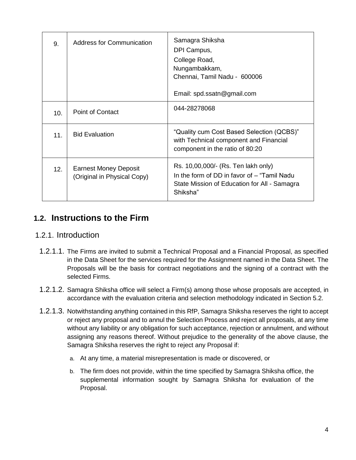| 9.  | Address for Communication                                   | Samagra Shiksha<br>DPI Campus,<br>College Road,<br>Nungambakkam,<br>Chennai, Tamil Nadu - 600006<br>Email: spd.ssatn@gmail.com                 |
|-----|-------------------------------------------------------------|------------------------------------------------------------------------------------------------------------------------------------------------|
| 10. | Point of Contact                                            | 044-28278068                                                                                                                                   |
| 11. | <b>Bid Evaluation</b>                                       | "Quality cum Cost Based Selection (QCBS)"<br>with Technical component and Financial<br>component in the ratio of 80:20                         |
| 12. | <b>Earnest Money Deposit</b><br>(Original in Physical Copy) | Rs. 10,00,000/- (Rs. Ten lakh only)<br>In the form of DD in favor of - "Tamil Nadu<br>State Mission of Education for All - Samagra<br>Shiksha" |

## **1.2. Instructions to the Firm**

### 1.2.1. Introduction

- 1.2.1.1. The Firms are invited to submit a Technical Proposal and a Financial Proposal, as specified in the Data Sheet for the services required for the Assignment named in the Data Sheet. The Proposals will be the basis for contract negotiations and the signing of a contract with the selected Firms.
- 1.2.1.2. Samagra Shiksha office will select a Firm(s) among those whose proposals are accepted, in accordance with the evaluation criteria and selection methodology indicated in Section 5.2.
- 1.2.1.3. Notwithstanding anything contained in this RfP, Samagra Shiksha reserves the right to accept or reject any proposal and to annul the Selection Process and reject all proposals, at any time without any liability or any obligation for such acceptance, rejection or annulment, and without assigning any reasons thereof. Without prejudice to the generality of the above clause, the Samagra Shiksha reserves the right to reject any Proposal if:
	- a. At any time, a material misrepresentation is made or discovered, or
	- b. The firm does not provide, within the time specified by Samagra Shiksha office, the supplemental information sought by Samagra Shiksha for evaluation of the Proposal.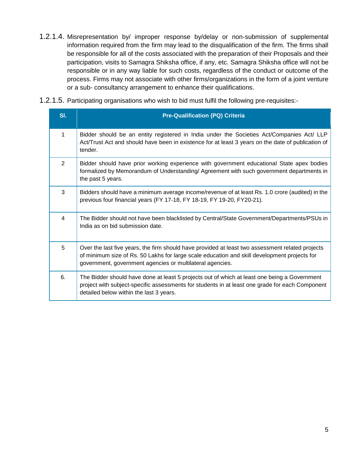- 1.2.1.4. Misrepresentation by/ improper response by/delay or non-submission of supplemental information required from the firm may lead to the disqualification of the firm. The firms shall be responsible for all of the costs associated with the preparation of their Proposals and their participation, visits to Samagra Shiksha office, if any, etc. Samagra Shiksha office will not be responsible or in any way liable for such costs, regardless of the conduct or outcome of the process. Firms may not associate with other firms/organizations in the form of a joint venture or a sub- consultancy arrangement to enhance their qualifications.
- 1.2.1.5. Participating organisations who wish to bid must fulfil the following pre-requisites:-

| SI.            | <b>Pre-Qualification (PQ) Criteria</b>                                                                                                                                                                                                                        |
|----------------|---------------------------------------------------------------------------------------------------------------------------------------------------------------------------------------------------------------------------------------------------------------|
| 1              | Bidder should be an entity registered in India under the Societies Act/Companies Act/ LLP<br>Act/Trust Act and should have been in existence for at least 3 years on the date of publication of<br>tender.                                                    |
| $\overline{2}$ | Bidder should have prior working experience with government educational State apex bodies<br>formalized by Memorandum of Understanding/ Agreement with such government departments in<br>the past 5 years.                                                    |
| 3              | Bidders should have a minimum average income/revenue of at least Rs. 1.0 crore (audited) in the<br>previous four financial years (FY 17-18, FY 18-19, FY 19-20, FY20-21).                                                                                     |
| 4              | The Bidder should not have been blacklisted by Central/State Government/Departments/PSUs in<br>India as on bid submission date.                                                                                                                               |
| 5              | Over the last five years, the firm should have provided at least two assessment related projects<br>of minimum size of Rs. 50 Lakhs for large scale education and skill development projects for<br>government, government agencies or multilateral agencies. |
| 6.             | The Bidder should have done at least 5 projects out of which at least one being a Government<br>project with subject-specific assessments for students in at least one grade for each Component<br>detailed below within the last 3 years.                    |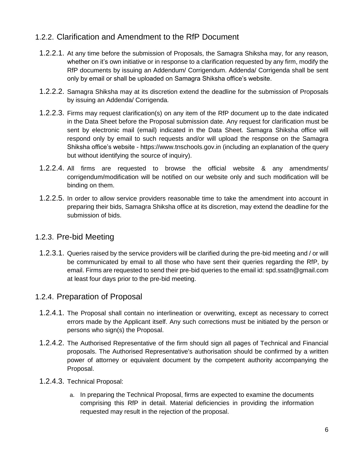### 1.2.2. Clarification and Amendment to the RfP Document

- 1.2.2.1. At any time before the submission of Proposals, the Samagra Shiksha may, for any reason, whether on it's own initiative or in response to a clarification requested by any firm, modify the RfP documents by issuing an Addendum/ Corrigendum. Addenda/ Corrigenda shall be sent only by email or shall be uploaded on Samagra Shiksha office's website.
- 1.2.2.2. Samagra Shiksha may at its discretion extend the deadline for the submission of Proposals by issuing an Addenda/ Corrigenda.
- 1.2.2.3. Firms may request clarification(s) on any item of the RfP document up to the date indicated in the Data Sheet before the Proposal submission date. Any request for clarification must be sent by electronic mail (email) indicated in the Data Sheet. Samagra Shiksha office will respond only by email to such requests and/or will upload the response on the Samagra Shiksha office's website - https://www.tnschools.gov.in (including an explanation of the query but without identifying the source of inquiry).
- 1.2.2.4. All firms are requested to browse the official website & any amendments/ corrigendum/modification will be notified on our website only and such modification will be binding on them.
- 1.2.2.5. In order to allow service providers reasonable time to take the amendment into account in preparing their bids, Samagra Shiksha office at its discretion, may extend the deadline for the submission of bids.

### 1.2.3. Pre-bid Meeting

1.2.3.1. Queries raised by the service providers will be clarified during the pre-bid meeting and / or will be communicated by email to all those who have sent their queries regarding the RfP, by email. Firms are requested to send their pre-bid queries to the email id[: spd.ssatn@gmail.com](mailto:spd.ssatn@gmail.com) at least four days prior to the pre-bid meeting.

### 1.2.4. Preparation of Proposal

- 1.2.4.1. The Proposal shall contain no interlineation or overwriting, except as necessary to correct errors made by the Applicant itself. Any such corrections must be initiated by the person or persons who sign(s) the Proposal.
- 1.2.4.2. The Authorised Representative of the firm should sign all pages of Technical and Financial proposals. The Authorised Representative's authorisation should be confirmed by a written power of attorney or equivalent document by the competent authority accompanying the Proposal.
- 1.2.4.3. Technical Proposal:
	- a. In preparing the Technical Proposal, firms are expected to examine the documents comprising this RfP in detail. Material deficiencies in providing the information requested may result in the rejection of the proposal.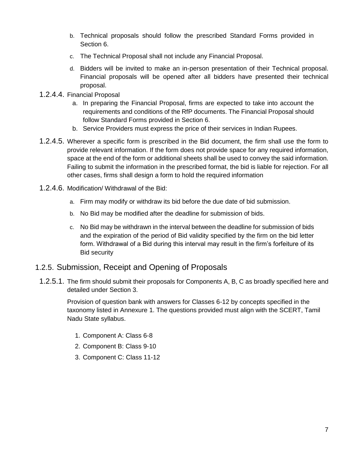- b. Technical proposals should follow the prescribed Standard Forms provided in Section 6.
- c. The Technical Proposal shall not include any Financial Proposal.
- d. Bidders will be invited to make an in-person presentation of their Technical proposal. Financial proposals will be opened after all bidders have presented their technical proposal.
- 1.2.4.4. Financial Proposal
	- a. In preparing the Financial Proposal, firms are expected to take into account the requirements and conditions of the RfP documents. The Financial Proposal should follow Standard Forms provided in Section 6.
	- b. Service Providers must express the price of their services in Indian Rupees.
- 1.2.4.5. Wherever a specific form is prescribed in the Bid document, the firm shall use the form to provide relevant information. If the form does not provide space for any required information, space at the end of the form or additional sheets shall be used to convey the said information. Failing to submit the information in the prescribed format, the bid is liable for rejection. For all other cases, firms shall design a form to hold the required information
- 1.2.4.6. Modification/ Withdrawal of the Bid:
	- a. Firm may modify or withdraw its bid before the due date of bid submission.
	- b. No Bid may be modified after the deadline for submission of bids.
	- c. No Bid may be withdrawn in the interval between the deadline for submission of bids and the expiration of the period of Bid validity specified by the firm on the bid letter form. Withdrawal of a Bid during this interval may result in the firm's forfeiture of its Bid security

### 1.2.5. Submission, Receipt and Opening of Proposals

1.2.5.1. The firm should submit their proposals for Components A, B, C as broadly specified here and detailed under Section 3.

Provision of question bank with answers for Classes 6-12 by concepts specified in the taxonomy listed in Annexure 1. The questions provided must align with the SCERT, Tamil Nadu State syllabus.

- 1. Component A: Class 6-8
- 2. Component B: Class 9-10
- 3. Component C: Class 11-12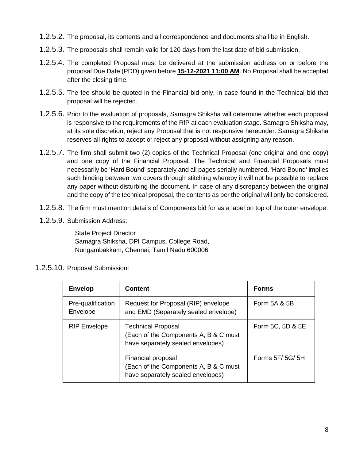- 1.2.5.2. The proposal, its contents and all correspondence and documents shall be in English.
- 1.2.5.3. The proposals shall remain valid for 120 days from the last date of bid submission.
- 1.2.5.4. The completed Proposal must be delivered at the submission address on or before the proposal Due Date (PDD) given before **15-12-2021 11:00 AM**. No Proposal shall be accepted after the closing time.
- 1.2.5.5. The fee should be quoted in the Financial bid only, in case found in the Technical bid that proposal will be rejected.
- 1.2.5.6. Prior to the evaluation of proposals, Samagra Shiksha will determine whether each proposal is responsive to the requirements of the RfP at each evaluation stage. Samagra Shiksha may, at its sole discretion, reject any Proposal that is not responsive hereunder. Samagra Shiksha reserves all rights to accept or reject any proposal without assigning any reason.
- 1.2.5.7. The firm shall submit two (2) copies of the Technical Proposal (one original and one copy) and one copy of the Financial Proposal. The Technical and Financial Proposals must necessarily be 'Hard Bound' separately and all pages serially numbered. 'Hard Bound' implies such binding between two covers through stitching whereby it will not be possible to replace any paper without disturbing the document. In case of any discrepancy between the original and the copy of the technical proposal, the contents as per the original will only be considered.
- 1.2.5.8. The firm must mention details of Components bid for as a label on top of the outer envelope.
- 1.2.5.9. Submission Address:

State Project Director Samagra Shiksha, DPI Campus, College Road, Nungambakkam, Chennai, Tamil Nadu 600006

#### 1.2.5.10. Proposal Submission:

| <b>Envelop</b>                | <b>Content</b>                                                                                          | <b>Forms</b>     |
|-------------------------------|---------------------------------------------------------------------------------------------------------|------------------|
| Pre-qualification<br>Envelope | Request for Proposal (RfP) envelope<br>and EMD (Separately sealed envelope)                             | Form 5A & 5B     |
| <b>RfP</b> Envelope           | <b>Technical Proposal</b><br>(Each of the Components A, B & C must<br>have separately sealed envelopes) | Form 5C, 5D & 5E |
|                               | Financial proposal<br>(Each of the Components A, B & C must<br>have separately sealed envelopes)        | Forms $5F/5G/5H$ |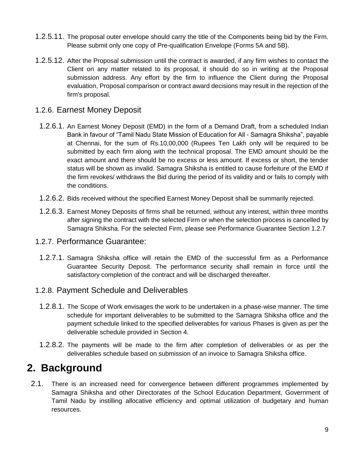- 1.2.5.11. The proposal outer envelope should carry the title of the Components being bid by the Firm. Please submit only one copy of Pre-qualification Envelope (Forms 5A and 5B).
- 1.2.5.12. After the Proposal submission until the contract is awarded, if any firm wishes to contact the Client on any matter related to its proposal, it should do so in writing at the Proposal submission address. Any effort by the firm to influence the Client during the Proposal evaluation, Proposal comparison or contract award decisions may result in the rejection of the firm's proposal.

### 1.2.6. Earnest Money Deposit

- 1.2.6.1. An Earnest Money Deposit (EMD) in the form of a Demand Draft, from a scheduled Indian Bank in favour of "Tamil Nadu State Mission of Education for All - Samagra Shiksha", payable at Chennai, for the sum of Rs.10,00,000 (Rupees Ten Lakh only will be required to be submitted by each firm along with the technical proposal. The EMD amount should be the exact amount and there should be no excess or less amount. If excess or short, the tender status will be shown as invalid. Samagra Shiksha is entitled to cause forfeiture of the EMD if the firm revokes/ withdraws the Bid during the period of its validity and or fails to comply with the conditions.
- 1.2.6.2. Bids received without the specified Earnest Money Deposit shall be summarily rejected.
- 1.2.6.3. Earnest Money Deposits of firms shall be returned, without any interest, within three months after signing the contract with the selected Firm or when the selection process is cancelled by Samagra Shiksha. For the selected Firm, please see Performance Guarantee Section 1.2.7

#### 1.2.7. Performance Guarantee:

1.2.7.1. Samagra Shiksha office will retain the EMD of the successful firm as a Performance Guarantee Security Deposit. The performance security shall remain in force until the satisfactory completion of the contract and will be discharged thereafter.

### 1.2.8. Payment Schedule and Deliverables

- 1.2.8.1. The Scope of Work envisages the work to be undertaken in a phase-wise manner. The time schedule for important deliverables to be submitted to the Samagra Shiksha office and the payment schedule linked to the specified deliverables for various Phases is given as per the deliverable schedule provided in Section 4.
- 1.2.8.2. The payments will be made to the firm after completion of deliverables or as per the deliverables schedule based on submission of an invoice to Samagra Shiksha office.

## **2. Background**

2.1. There is an increased need for convergence between different programmes implemented by Samagra Shiksha and other Directorates of the School Education Department, Government of Tamil Nadu by instilling allocative efficiency and optimal utilization of budgetary and human resources.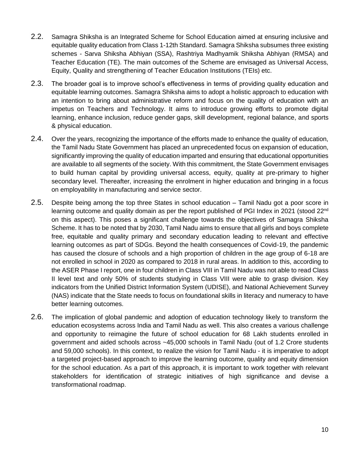- 2.2. Samagra Shiksha is an Integrated Scheme for School Education aimed at ensuring inclusive and equitable quality education from Class 1-12th Standard. Samagra Shiksha subsumes three existing schemes - Sarva Shiksha Abhiyan (SSA), Rashtriya Madhyamik Shiksha Abhiyan (RMSA) and Teacher Education (TE). The main outcomes of the Scheme are envisaged as Universal Access, Equity, Quality and strengthening of Teacher Education Institutions (TEIs) etc.
- 2.3. The broader goal is to improve school's effectiveness in terms of providing quality education and equitable learning outcomes. Samagra Shiksha aims to adopt a holistic approach to education with an intention to bring about administrative reform and focus on the quality of education with an impetus on Teachers and Technology. It aims to introduce growing efforts to promote digital learning, enhance inclusion, reduce gender gaps, skill development, regional balance, and sports & physical education.
- 2.4. Over the years, recognizing the importance of the efforts made to enhance the quality of education, the Tamil Nadu State Government has placed an unprecedented focus on expansion of education, significantly improving the quality of education imparted and ensuring that educational opportunities are available to all segments of the society. With this commitment, the State Government envisages to build human capital by providing universal access, equity, quality at pre-primary to higher secondary level. Thereafter, increasing the enrolment in higher education and bringing in a focus on employability in manufacturing and service sector.
- 2.5. Despite being among the top three States in school education Tamil Nadu got a poor score in learning outcome and quality domain as per the report published of PGI Index in 2021 (stood 22<sup>nd</sup> on this aspect). This poses a significant challenge towards the objectives of Samagra Shiksha Scheme. It has to be noted that by 2030, Tamil Nadu aims to ensure that all girls and boys complete free, equitable and quality primary and secondary education leading to relevant and effective learning outcomes as part of SDGs. Beyond the health consequences of Covid-19, the pandemic has caused the closure of schools and a high proportion of children in the age group of 6-18 are not enrolled in school in 2020 as compared to 2018 in rural areas. In addition to this, according to the ASER Phase I report, one in four children in Class VIII in Tamil Nadu was not able to read Class II level text and only 50% of students studying in Class VIII were able to grasp division. Key indicators from the Unified District Information System (UDISE), and National Achievement Survey (NAS) indicate that the State needs to focus on foundational skills in literacy and numeracy to have better learning outcomes.
- 2.6. The implication of global pandemic and adoption of education technology likely to transform the education ecosystems across India and Tamil Nadu as well. This also creates a various challenge and opportunity to reimagine the future of school education for 68 Lakh students enrolled in government and aided schools across ~45,000 schools in Tamil Nadu (out of 1.2 Crore students and 59,000 schools). In this context, to realize the vision for Tamil Nadu - it is imperative to adopt a targeted project-based approach to improve the learning outcome, quality and equity dimension for the school education. As a part of this approach, it is important to work together with relevant stakeholders for identification of strategic initiatives of high significance and devise a transformational roadmap.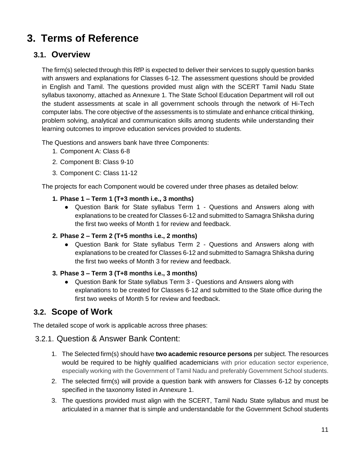## **3. Terms of Reference**

## **3.1. Overview**

The firm(s) selected through this RfP is expected to deliver their services to supply question banks with answers and explanations for Classes 6-12. The assessment questions should be provided in English and Tamil. The questions provided must align with the SCERT Tamil Nadu State syllabus taxonomy, attached as Annexure 1. The State School Education Department will roll out the student assessments at scale in all government schools through the network of Hi-Tech computer labs. The core objective of the assessments is to stimulate and enhance critical thinking, problem solving, analytical and communication skills among students while understanding their learning outcomes to improve education services provided to students.

The Questions and answers bank have three Components:

- 1. Component A: Class 6-8
- 2. Component B: Class 9-10
- 3. Component C: Class 11-12

The projects for each Component would be covered under three phases as detailed below:

- **1. Phase 1 – Term 1 (T+3 month i.e., 3 months)**
	- Question Bank for State syllabus Term 1 Questions and Answers along with explanations to be created for Classes 6-12 and submitted to Samagra Shiksha during the first two weeks of Month 1 for review and feedback.
- **2. Phase 2 – Term 2 (T+5 months i.e., 2 months)**
	- Question Bank for State syllabus Term 2 Questions and Answers along with explanations to be created for Classes 6-12 and submitted to Samagra Shiksha during the first two weeks of Month 3 for review and feedback.
- **3. Phase 3 – Term 3 (T+8 months i.e., 3 months)**
	- Question Bank for State syllabus Term 3 Questions and Answers along with explanations to be created for Classes 6-12 and submitted to the State office during the first two weeks of Month 5 for review and feedback.

## **3.2. Scope of Work**

The detailed scope of work is applicable across three phases:

### 3.2.1. Question & Answer Bank Content:

- 1. The Selected firm(s) should have **two academic resource persons** per subject. The resources would be required to be highly qualified academicians with prior education sector experience, especially working with the Government of Tamil Nadu and preferably Government School students.
- 2. The selected firm(s) will provide a question bank with answers for Classes 6-12 by concepts specified in the taxonomy listed in Annexure 1.
- 3. The questions provided must align with the SCERT, Tamil Nadu State syllabus and must be articulated in a manner that is simple and understandable for the Government School students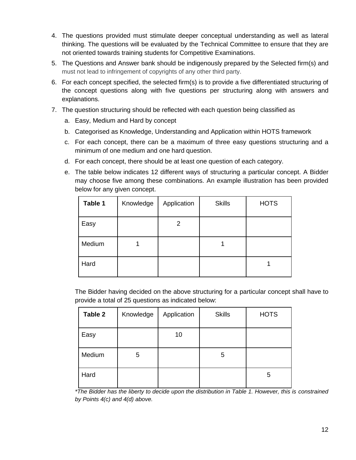- 4. The questions provided must stimulate deeper conceptual understanding as well as lateral thinking. The questions will be evaluated by the Technical Committee to ensure that they are not oriented towards training students for Competitive Examinations.
- 5. The Questions and Answer bank should be indigenously prepared by the Selected firm(s) and must not lead to infringement of copyrights of any other third party.
- 6. For each concept specified, the selected firm(s) is to provide a five differentiated structuring of the concept questions along with five questions per structuring along with answers and explanations.
- 7. The question structuring should be reflected with each question being classified as
	- a. Easy, Medium and Hard by concept
	- b. Categorised as Knowledge, Understanding and Application within HOTS framework
	- c. For each concept, there can be a maximum of three easy questions structuring and a minimum of one medium and one hard question.
	- d. For each concept, there should be at least one question of each category.
	- e. The table below indicates 12 different ways of structuring a particular concept. A Bidder may choose five among these combinations. An example illustration has been provided below for any given concept.

| Table 1 | Knowledge | Application | <b>Skills</b> | <b>HOTS</b> |
|---------|-----------|-------------|---------------|-------------|
| Easy    |           | 2           |               |             |
| Medium  |           |             |               |             |
| Hard    |           |             |               |             |

The Bidder having decided on the above structuring for a particular concept shall have to provide a total of 25 questions as indicated below:

| Table 2 | Knowledge | Application | <b>Skills</b> | <b>HOTS</b> |
|---------|-----------|-------------|---------------|-------------|
| Easy    |           | 10          |               |             |
| Medium  | 5         |             | 5             |             |
| Hard    |           |             |               | 5           |

*\*The Bidder has the liberty to decide upon the distribution in Table 1. However, this is constrained by Points 4(c) and 4(d) above.*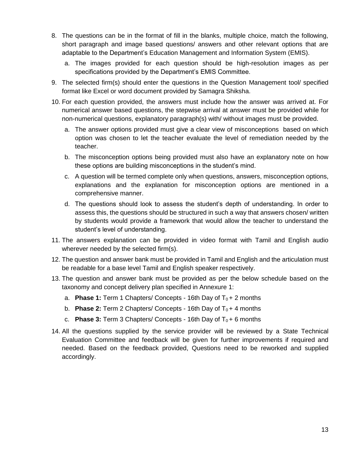- 8. The questions can be in the format of fill in the blanks, multiple choice, match the following, short paragraph and image based questions/ answers and other relevant options that are adaptable to the Department's Education Management and Information System (EMIS).
	- a. The images provided for each question should be high-resolution images as per specifications provided by the Department's EMIS Committee.
- 9. The selected firm(s) should enter the questions in the Question Management tool/ specified format like Excel or word document provided by Samagra Shiksha.
- 10. For each question provided, the answers must include how the answer was arrived at. For numerical answer based questions, the stepwise arrival at answer must be provided while for non-numerical questions, explanatory paragraph(s) with/ without images must be provided.
	- a. The answer options provided must give a clear view of misconceptions based on which option was chosen to let the teacher evaluate the level of remediation needed by the teacher.
	- b. The misconception options being provided must also have an explanatory note on how these options are building misconceptions in the student's mind.
	- c. A question will be termed complete only when questions, answers, misconception options, explanations and the explanation for misconception options are mentioned in a comprehensive manner.
	- d. The questions should look to assess the student's depth of understanding. In order to assess this, the questions should be structured in such a way that answers chosen/ written by students would provide a framework that would allow the teacher to understand the student's level of understanding.
- 11. The answers explanation can be provided in video format with Tamil and English audio wherever needed by the selected firm(s).
- 12. The question and answer bank must be provided in Tamil and English and the articulation must be readable for a base level Tamil and English speaker respectively.
- 13. The question and answer bank must be provided as per the below schedule based on the taxonomy and concept delivery plan specified in Annexure 1:
	- a. **Phase 1:** Term 1 Chapters/ Concepts 16th Day of  $T_0 + 2$  months
	- b. **Phase 2:** Term 2 Chapters/ Concepts 16th Day of  $T_0 + 4$  months
	- c. **Phase 3:** Term 3 Chapters/ Concepts 16th Day of  $T_0 + 6$  months
- 14. All the questions supplied by the service provider will be reviewed by a State Technical Evaluation Committee and feedback will be given for further improvements if required and needed. Based on the feedback provided, Questions need to be reworked and supplied accordingly.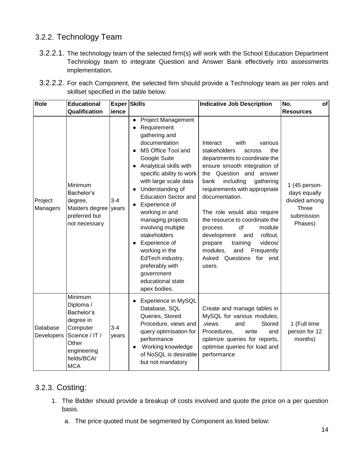## 3.2.2. Technology Team

3.2.2.1. The technology team of the selected firm(s) will work with the School Education Department Technology team to integrate Question and Answer Bank effectively into assessments implementation.

| 3.2.2.2. For each Component, the selected firm should provide a Technology team as per roles and |  |  |
|--------------------------------------------------------------------------------------------------|--|--|
| skillset specified in the table below.                                                           |  |  |

| Role                   | <b>Educational</b>                                                                                                                 | <b>Exper Skills</b> |                                                                                                                                                                                                                                                                                                                                                                                                                                                                                            | <b>Indicative Job Description</b>                                                                                                                                                                                                                                                                                                                                                                                                                                                         | No.<br>of                                                                               |
|------------------------|------------------------------------------------------------------------------------------------------------------------------------|---------------------|--------------------------------------------------------------------------------------------------------------------------------------------------------------------------------------------------------------------------------------------------------------------------------------------------------------------------------------------------------------------------------------------------------------------------------------------------------------------------------------------|-------------------------------------------------------------------------------------------------------------------------------------------------------------------------------------------------------------------------------------------------------------------------------------------------------------------------------------------------------------------------------------------------------------------------------------------------------------------------------------------|-----------------------------------------------------------------------------------------|
|                        | Qualification                                                                                                                      | ience               |                                                                                                                                                                                                                                                                                                                                                                                                                                                                                            |                                                                                                                                                                                                                                                                                                                                                                                                                                                                                           | <b>Resources</b>                                                                        |
| Project<br>Managers    | Minimum<br>Bachelor's<br>degree,<br>Masters degree<br>preferred but<br>not necessary                                               | $3 - 4$<br>years    | <b>Project Management</b><br>$\bullet$<br>Requirement<br>gathering and<br>documentation<br>MS Office Tool and<br>Google Suite<br>Analytical skills with<br>specific ability to work<br>with large scale data<br>Understanding of<br><b>Education Sector and</b><br>Experience of<br>working in and<br>managing projects<br>involving multiple<br>stakeholders<br>Experience of<br>working in the<br>EdTech industry,<br>preferably with<br>government<br>educational state<br>apex bodies. | with<br>Interact<br>various<br>stakeholders<br>the<br>across<br>departments to coordinate the<br>ensure smooth integration of<br>the Question and answer<br>including<br>gathering<br>bank<br>requirements with appropriate<br>documentation.<br>The role would also require<br>the resource to coordinate the<br>of<br>module<br>process<br>rollout,<br>development<br>and<br>training<br>videos/<br>prepare<br>modules,<br>and<br>Frequently<br>Questions<br>for end<br>Asked<br>users. | 1 (45 person-<br>days equally<br>divided among<br><b>Three</b><br>submission<br>Phases) |
| Database<br>Developers | Minimum<br>Diploma /<br>Bachelor's<br>degree in<br>Computer<br>Science / IT /<br>Other<br>engineering<br>fields/BCA/<br><b>MCA</b> | $3 - 4$<br>years    | <b>Experience in MySQL</b><br>Database, SQL<br>Queries, Stored<br>Procedure, views and<br>query optimisation for<br>performance<br>Working knowledge<br>of NoSQL is desirable<br>but not mandatory                                                                                                                                                                                                                                                                                         | Create and manage tables in<br>MySQL for various modules,<br>, views<br>and<br>Stored<br>write<br>Procedures,<br>and<br>optimize queries for reports,<br>optimise queries for load and<br>performance                                                                                                                                                                                                                                                                                     | 1 (Full time<br>person for 12<br>months)                                                |

## 3.2.3. Costing:

- 1. The Bidder should provide a breakup of costs involved and quote the price on a per question basis.
	- a. The price quoted must be segmented by Component as listed below: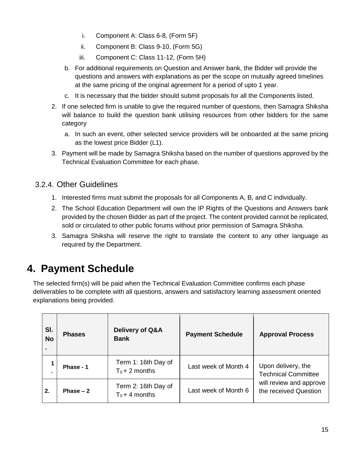- i. Component A: Class 6-8, (Form 5F)
- ii. Component B: Class 9-10, (Form 5G)
- iii. Component C: Class 11-12, (Form 5H)
- b. For additional requirements on Question and Answer bank, the Bidder will provide the questions and answers with explanations as per the scope on mutually agreed timelines at the same pricing of the original agreement for a period of upto 1 year.
- c. It is necessary that the bidder should submit proposals for all the Components listed.
- 2. If one selected firm is unable to give the required number of questions, then Samagra Shiksha will balance to build the question bank utilising resources from other bidders for the same category
	- a. In such an event, other selected service providers will be onboarded at the same pricing as the lowest price Bidder (L1).
- 3. Payment will be made by Samagra Shiksha based on the number of questions approved by the Technical Evaluation Committee for each phase.

## 3.2.4. Other Guidelines

- 1. Interested firms must submit the proposals for all Components A, B, and C individually.
- 2. The School Education Department will own the IP Rights of the Questions and Answers bank provided by the chosen Bidder as part of the project. The content provided cannot be replicated, sold or circulated to other public forums without prior permission of Samagra Shiksha.
- 3. Samagra Shiksha will reserve the right to translate the content to any other language as required by the Department.

## **4. Payment Schedule**

The selected firm(s) will be paid when the Technical Evaluation Committee confirms each phase deliverables to be complete with all questions, answers and satisfactory learning assessment oriented explanations being provided.

| SI.<br><b>No</b> | <b>Phases</b> | <b>Delivery of Q&amp;A</b><br><b>Bank</b> | <b>Payment Schedule</b> | <b>Approval Process</b>                          |
|------------------|---------------|-------------------------------------------|-------------------------|--------------------------------------------------|
|                  | Phase - 1     | Term 1: 16th Day of<br>$T_0 + 2$ months   | Last week of Month 4    | Upon delivery, the<br><b>Technical Committee</b> |
| 2.               | Phase $-2$    | Term 2: 16th Day of<br>$T_0 + 4$ months   | Last week of Month 6    | will review and approve<br>the received Question |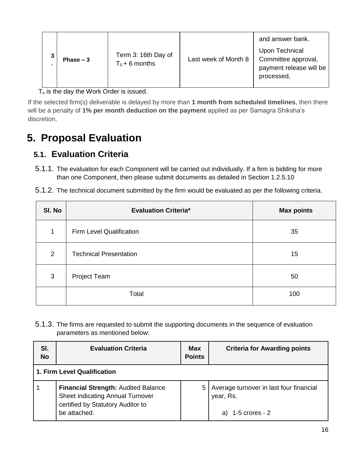$T<sub>o</sub>$  is the day the Work Order is issued.

If the selected firm(s) deliverable is delayed by more than **1 month from scheduled timelines**, then there will be a penalty of **1% per month deduction on the payment** applied as per Samagra Shiksha's discretion.

## **5. Proposal Evaluation**

## **5.1. Evaluation Criteria**

- 5.1.1. The evaluation for each Component will be carried out individually. If a firm is bidding for more than one Component, then please submit documents as detailed in Section 1.2.5.10
- 5.1.2. The technical document submitted by the firm would be evaluated as per the following criteria.

| SI. No | <b>Evaluation Criteria*</b>   | <b>Max points</b> |
|--------|-------------------------------|-------------------|
| 1      | Firm Level Qualification      | 35                |
| 2      | <b>Technical Presentation</b> | 15                |
| 3      | Project Team                  | 50                |
|        | Total                         | 100               |

5.1.3. The firms are requested to submit the supporting documents in the sequence of evaluation parameters as mentioned below:

| SI.<br><b>No</b> | <b>Evaluation Criteria</b>                                                                                                          | <b>Max</b><br><b>Points</b> | <b>Criteria for Awarding points</b>                                          |
|------------------|-------------------------------------------------------------------------------------------------------------------------------------|-----------------------------|------------------------------------------------------------------------------|
|                  | 1. Firm Level Qualification                                                                                                         |                             |                                                                              |
|                  | <b>Financial Strength: Audited Balance</b><br>Sheet indicating Annual Turnover<br>certified by Statutory Auditor to<br>be attached. | 5                           | Average turnover in last four financial<br>year, Rs.<br>a) $1-5$ crores $-2$ |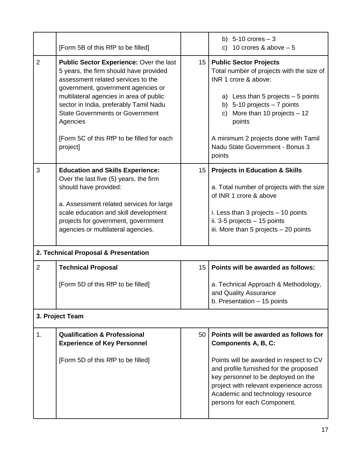|                | [Form 5B of this RfP to be filled]                                                                                                                                                                                                                                                                                                                                 |                  | b) $5-10$ crores $-3$<br>c) 10 crores & above $-5$                                                                                                                                                                                                                                                                        |
|----------------|--------------------------------------------------------------------------------------------------------------------------------------------------------------------------------------------------------------------------------------------------------------------------------------------------------------------------------------------------------------------|------------------|---------------------------------------------------------------------------------------------------------------------------------------------------------------------------------------------------------------------------------------------------------------------------------------------------------------------------|
| $\overline{2}$ | Public Sector Experience: Over the last<br>5 years, the firm should have provided<br>assessment related services to the<br>government, government agencies or<br>multilateral agencies in area of public<br>sector in India, preferably Tamil Nadu<br><b>State Governments or Government</b><br>Agencies<br>[Form 5C of this RfP to be filled for each<br>project] | 15 <sub>15</sub> | <b>Public Sector Projects</b><br>Total number of projects with the size of<br>INR 1 crore & above:<br>a) Less than 5 projects $-5$ points<br>b) $5-10$ projects $-7$ points<br>More than 10 projects $-12$<br>$\mathsf{C}$<br>points<br>A minimum 2 projects done with Tamil<br>Nadu State Government - Bonus 3<br>points |
| 3              | <b>Education and Skills Experience:</b><br>Over the last five (5) years, the firm<br>should have provided:<br>a. Assessment related services for large<br>scale education and skill development<br>projects for government, government<br>agencies or multilateral agencies.<br>2. Technical Proposal & Presentation                                               | 15               | <b>Projects in Education &amp; Skills</b><br>a. Total number of projects with the size<br>of INR 1 crore & above<br>i. Less than 3 projects $-10$ points<br>ii. 3-5 projects - 15 points<br>iii. More than 5 projects $-20$ points                                                                                        |
| $\overline{2}$ | <b>Technical Proposal</b>                                                                                                                                                                                                                                                                                                                                          | 15               | Points will be awarded as follows:                                                                                                                                                                                                                                                                                        |
|                | [Form 5D of this RfP to be filled]<br>3. Project Team                                                                                                                                                                                                                                                                                                              |                  | a. Technical Approach & Methodology,<br>and Quality Assurance<br>b. Presentation - 15 points                                                                                                                                                                                                                              |
|                |                                                                                                                                                                                                                                                                                                                                                                    |                  |                                                                                                                                                                                                                                                                                                                           |
| 1.             | <b>Qualification &amp; Professional</b><br><b>Experience of Key Personnel</b><br>[Form 5D of this RfP to be filled]                                                                                                                                                                                                                                                | 50               | Points will be awarded as follows for<br>Components A, B, C:<br>Points will be awarded in respect to CV<br>and profile furnished for the proposed<br>key personnel to be deployed on the<br>project with relevant experience across<br>Academic and technology resource<br>persons for each Component.                    |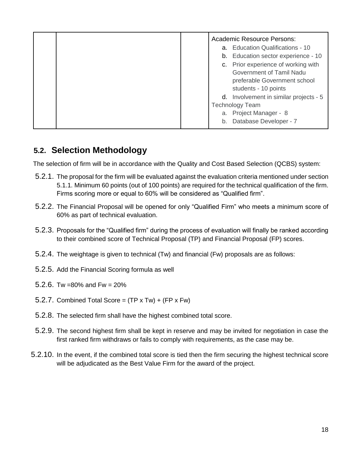|  |    | <b>Academic Resource Persons:</b>      |
|--|----|----------------------------------------|
|  |    | a. Education Qualifications - 10       |
|  |    | b. Education sector experience - 10    |
|  |    | c. Prior experience of working with    |
|  |    | Government of Tamil Nadu               |
|  |    | preferable Government school           |
|  |    | students - 10 points                   |
|  |    | d. Involvement in similar projects - 5 |
|  |    | <b>Technology Team</b>                 |
|  |    | a. Project Manager - 8                 |
|  | b. | Database Developer - 7                 |
|  |    |                                        |

## **5.2. Selection Methodology**

The selection of firm will be in accordance with the Quality and Cost Based Selection (QCBS) system:

- 5.2.1. The proposal for the firm will be evaluated against the evaluation criteria mentioned under section 5.1.1. Minimum 60 points (out of 100 points) are required for the technical qualification of the firm. Firms scoring more or equal to 60% will be considered as "Qualified firm".
- 5.2.2. The Financial Proposal will be opened for only "Qualified Firm" who meets a minimum score of 60% as part of technical evaluation.
- 5.2.3. Proposals for the "Qualified firm" during the process of evaluation will finally be ranked according to their combined score of Technical Proposal (TP) and Financial Proposal (FP) scores.
- 5.2.4. The weightage is given to technical (Tw) and financial (Fw) proposals are as follows:
- 5.2.5. Add the Financial Scoring formula as well
- 5.2.6. Tw = 80% and Fw =  $20\%$
- 5.2.7. Combined Total Score =  $(TP \times Tw) + (FP \times Fw)$
- 5.2.8. The selected firm shall have the highest combined total score.
- 5.2.9. The second highest firm shall be kept in reserve and may be invited for negotiation in case the first ranked firm withdraws or fails to comply with requirements, as the case may be.
- 5.2.10. In the event, if the combined total score is tied then the firm securing the highest technical score will be adjudicated as the Best Value Firm for the award of the project.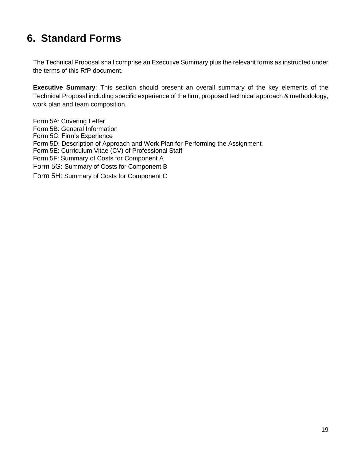## **6. Standard Forms**

The Technical Proposal shall comprise an Executive Summary plus the relevant forms as instructed under the terms of this RfP document.

**Executive Summary**: This section should present an overall summary of the key elements of the Technical Proposal including specific experience of the firm, proposed technical approach & methodology, work plan and team composition.

Form 5A: Covering Letter Form 5B: General Information Form 5C: Firm's Experience Form 5D: Description of Approach and Work Plan for Performing the Assignment Form 5E: Curriculum Vitae (CV) of Professional Staff Form 5F: Summary of Costs for Component A Form 5G: Summary of Costs for Component B Form 5H: Summary of Costs for Component C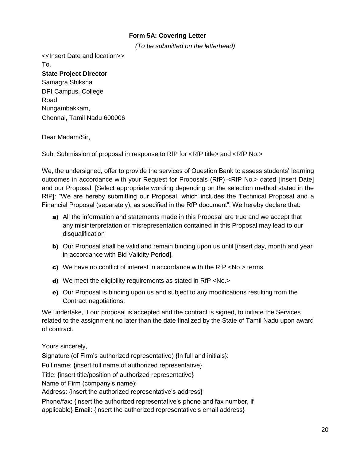#### **Form 5A: Covering Letter**

*(To be submitted on the letterhead)*

<<Insert Date and location>> To, **State Project Director**  Samagra Shiksha DPI Campus, College Road, Nungambakkam, Chennai, Tamil Nadu 600006

#### Dear Madam/Sir,

Sub: Submission of proposal in response to RfP for <RfP title> and <RfP No.>

We, the undersigned, offer to provide the services of Question Bank to assess students' learning outcomes in accordance with your Request for Proposals (RfP) <RfP No.> dated [Insert Date] and our Proposal. [Select appropriate wording depending on the selection method stated in the RfP]: "We are hereby submitting our Proposal, which includes the Technical Proposal and a Financial Proposal (separately), as specified in the RfP document". We hereby declare that:

- a) All the information and statements made in this Proposal are true and we accept that any misinterpretation or misrepresentation contained in this Proposal may lead to our disqualification
- b) Our Proposal shall be valid and remain binding upon us until [insert day, month and year in accordance with Bid Validity Period].
- c) We have no conflict of interest in accordance with the RfP <No.> terms.
- d) We meet the eligibility requirements as stated in RfP <No.>
- e) Our Proposal is binding upon us and subject to any modifications resulting from the Contract negotiations.

We undertake, if our proposal is accepted and the contract is signed, to initiate the Services related to the assignment no later than the date finalized by the State of Tamil Nadu upon award of contract.

Yours sincerely,

Signature (of Firm's authorized representative) {In full and initials}:

Full name: {insert full name of authorized representative}

Title: {insert title/position of authorized representative}

Name of Firm (company's name):

Address: {insert the authorized representative's address}

Phone/fax: {insert the authorized representative's phone and fax number, if applicable} Email: {insert the authorized representative's email address}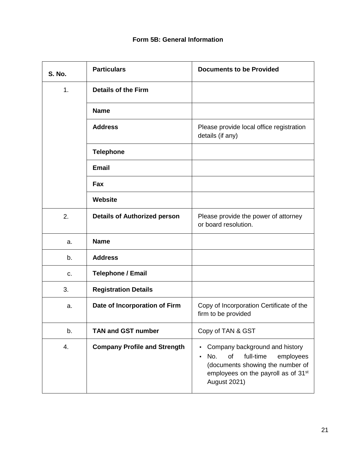#### **Form 5B: General Information**

| <b>S. No.</b> | <b>Particulars</b>                  | <b>Documents to be Provided</b>                                                                                                                                                          |
|---------------|-------------------------------------|------------------------------------------------------------------------------------------------------------------------------------------------------------------------------------------|
| 1.            | <b>Details of the Firm</b>          |                                                                                                                                                                                          |
|               | <b>Name</b>                         |                                                                                                                                                                                          |
|               | <b>Address</b>                      | Please provide local office registration<br>details (if any)                                                                                                                             |
|               | <b>Telephone</b>                    |                                                                                                                                                                                          |
|               | <b>Email</b>                        |                                                                                                                                                                                          |
|               | Fax                                 |                                                                                                                                                                                          |
|               | <b>Website</b>                      |                                                                                                                                                                                          |
| 2.            | <b>Details of Authorized person</b> | Please provide the power of attorney<br>or board resolution.                                                                                                                             |
| a.            | <b>Name</b>                         |                                                                                                                                                                                          |
| b.            | <b>Address</b>                      |                                                                                                                                                                                          |
| c.            | <b>Telephone / Email</b>            |                                                                                                                                                                                          |
| 3.            | <b>Registration Details</b>         |                                                                                                                                                                                          |
| a.            | Date of Incorporation of Firm       | Copy of Incorporation Certificate of the<br>firm to be provided                                                                                                                          |
| b.            | <b>TAN and GST number</b>           | Copy of TAN & GST                                                                                                                                                                        |
| 4.            | <b>Company Profile and Strength</b> | Company background and history<br>full-time<br>No.<br>of<br>employees<br>ı<br>(documents showing the number of<br>employees on the payroll as of 31 <sup>st</sup><br><b>August 2021)</b> |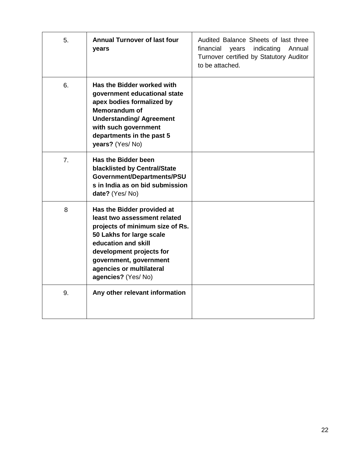| 5.             | <b>Annual Turnover of last four</b><br>years                                                                                                                                                                                                             | Audited Balance Sheets of last three<br>indicating<br>financial<br>Annual<br>years<br>Turnover certified by Statutory Auditor<br>to be attached. |
|----------------|----------------------------------------------------------------------------------------------------------------------------------------------------------------------------------------------------------------------------------------------------------|--------------------------------------------------------------------------------------------------------------------------------------------------|
| 6.             | Has the Bidder worked with<br>government educational state<br>apex bodies formalized by<br><b>Memorandum of</b><br><b>Understanding/ Agreement</b><br>with such government<br>departments in the past 5<br>years? (Yes/No)                               |                                                                                                                                                  |
| 7 <sub>1</sub> | <b>Has the Bidder been</b><br><b>blacklisted by Central/State</b><br>Government/Departments/PSU<br>s in India as on bid submission<br>date? (Yes/No)                                                                                                     |                                                                                                                                                  |
| 8              | Has the Bidder provided at<br>least two assessment related<br>projects of minimum size of Rs.<br>50 Lakhs for large scale<br>education and skill<br>development projects for<br>government, government<br>agencies or multilateral<br>agencies? (Yes/No) |                                                                                                                                                  |
| 9.             | Any other relevant information                                                                                                                                                                                                                           |                                                                                                                                                  |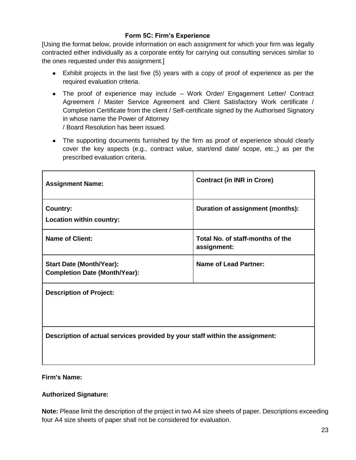#### **Form 5C: Firm's Experience**

[Using the format below, provide information on each assignment for which your firm was legally contracted either individually as a corporate entity for carrying out consulting services similar to the ones requested under this assignment.]

- Exhibit projects in the last five (5) years with a copy of proof of experience as per the required evaluation criteria.
- The proof of experience may include Work Order/ Engagement Letter/ Contract Agreement / Master Service Agreement and Client Satisfactory Work certificate / Completion Certificate from the client / Self-certificate signed by the Authorised Signatory in whose name the Power of Attorney / Board Resolution has been issued.
- The supporting documents furnished by the firm as proof of experience should clearly cover the key aspects (e.g., contract value, start/end date/ scope, etc.,) as per the prescribed evaluation criteria.

| <b>Assignment Name:</b>                                                      | <b>Contract (in INR in Crore)</b>               |
|------------------------------------------------------------------------------|-------------------------------------------------|
| <b>Country:</b><br>Location within country:                                  | Duration of assignment (months):                |
| <b>Name of Client:</b>                                                       | Total No. of staff-months of the<br>assignment: |
| <b>Start Date (Month/Year):</b><br><b>Completion Date (Month/Year):</b>      | <b>Name of Lead Partner:</b>                    |
| <b>Description of Project:</b>                                               |                                                 |
| Description of actual services provided by your staff within the assignment: |                                                 |

#### **Firm's Name:**

#### **Authorized Signature:**

**Note:** Please limit the description of the project in two A4 size sheets of paper. Descriptions exceeding four A4 size sheets of paper shall not be considered for evaluation.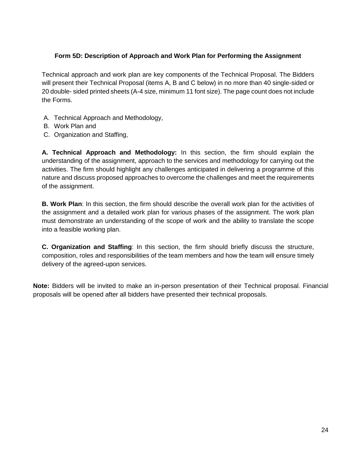#### **Form 5D: Description of Approach and Work Plan for Performing the Assignment**

Technical approach and work plan are key components of the Technical Proposal. The Bidders will present their Technical Proposal (items A, B and C below) in no more than 40 single-sided or 20 double- sided printed sheets (A-4 size, minimum 11 font size). The page count does not include the Forms.

- A. Technical Approach and Methodology,
- B. Work Plan and
- C. Organization and Staffing,

**A. Technical Approach and Methodology:** In this section, the firm should explain the understanding of the assignment, approach to the services and methodology for carrying out the activities. The firm should highlight any challenges anticipated in delivering a programme of this nature and discuss proposed approaches to overcome the challenges and meet the requirements of the assignment.

**B. Work Plan**: In this section, the firm should describe the overall work plan for the activities of the assignment and a detailed work plan for various phases of the assignment. The work plan must demonstrate an understanding of the scope of work and the ability to translate the scope into a feasible working plan.

**C. Organization and Staffing**: In this section, the firm should briefly discuss the structure, composition, roles and responsibilities of the team members and how the team will ensure timely delivery of the agreed-upon services.

**Note:** Bidders will be invited to make an in-person presentation of their Technical proposal. Financial proposals will be opened after all bidders have presented their technical proposals.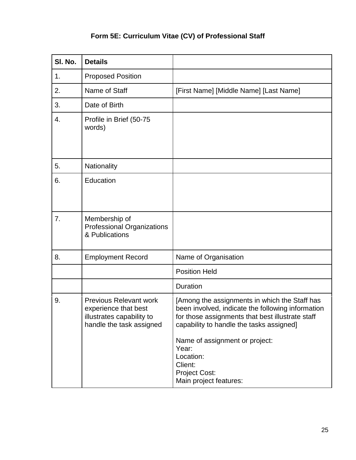## **Form 5E: Curriculum Vitae (CV) of Professional Staff**

| SI. No. | <b>Details</b>                                                                                                 |                                                                                                                                                                                                                                                            |
|---------|----------------------------------------------------------------------------------------------------------------|------------------------------------------------------------------------------------------------------------------------------------------------------------------------------------------------------------------------------------------------------------|
| 1.      | <b>Proposed Position</b>                                                                                       |                                                                                                                                                                                                                                                            |
| 2.      | Name of Staff                                                                                                  | [First Name] [Middle Name] [Last Name]                                                                                                                                                                                                                     |
| 3.      | Date of Birth                                                                                                  |                                                                                                                                                                                                                                                            |
| 4.      | Profile in Brief (50-75<br>words)                                                                              |                                                                                                                                                                                                                                                            |
| 5.      | Nationality                                                                                                    |                                                                                                                                                                                                                                                            |
| 6.      | Education                                                                                                      |                                                                                                                                                                                                                                                            |
| 7.      | Membership of<br>Professional Organizations<br>& Publications                                                  |                                                                                                                                                                                                                                                            |
| 8.      | <b>Employment Record</b>                                                                                       | Name of Organisation                                                                                                                                                                                                                                       |
|         |                                                                                                                | <b>Position Held</b>                                                                                                                                                                                                                                       |
|         |                                                                                                                | <b>Duration</b>                                                                                                                                                                                                                                            |
| 9.      | <b>Previous Relevant work</b><br>experience that best<br>illustrates capability to<br>handle the task assigned | [Among the assignments in which the Staff has<br>been involved, indicate the following information<br>for those assignments that best illustrate staff<br>capability to handle the tasks assigned]<br>Name of assignment or project:<br>Year:<br>Location: |
|         |                                                                                                                | Client:<br><b>Project Cost:</b><br>Main project features:                                                                                                                                                                                                  |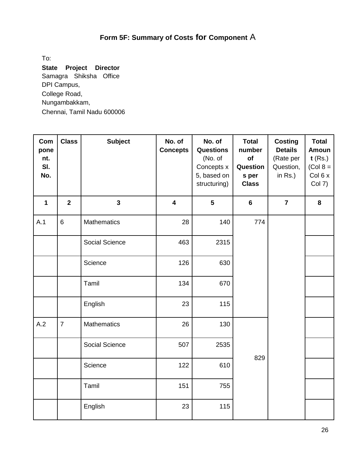## **Form 5F: Summary of Costs for Component** A

To:

**State Project Director**  Samagra Shiksha Office DPI Campus, College Road, Nungambakkam, Chennai, Tamil Nadu 600006

| Com<br>pone<br>nt.<br>SI.<br>No. | <b>Class</b>   | <b>Subject</b>     | No. of<br><b>Concepts</b> | No. of<br><b>Questions</b><br>(No. of<br>Concepts x<br>5, based on<br>structuring) | <b>Total</b><br>number<br>of<br>Question<br>s per<br><b>Class</b> | <b>Costing</b><br><b>Details</b><br>(Rate per<br>Question,<br>in $Rs.$ ) | <b>Total</b><br><b>Amoun</b><br>$t$ (Rs.)<br>$(Col 8 =$<br>Col 6 x<br>Col 7) |
|----------------------------------|----------------|--------------------|---------------------------|------------------------------------------------------------------------------------|-------------------------------------------------------------------|--------------------------------------------------------------------------|------------------------------------------------------------------------------|
| $\mathbf{1}$                     | $\overline{2}$ | $\mathbf{3}$       | $\overline{\mathbf{4}}$   | $5\phantom{1}$                                                                     | $6\phantom{a}$                                                    | $\overline{7}$                                                           | 8                                                                            |
| A.1                              | $6\phantom{a}$ | Mathematics        | 28                        | 140                                                                                | 774                                                               |                                                                          |                                                                              |
|                                  |                | Social Science     | 463                       | 2315                                                                               |                                                                   |                                                                          |                                                                              |
|                                  |                | Science            | 126                       | 630                                                                                |                                                                   |                                                                          |                                                                              |
|                                  |                | Tamil              | 134                       | 670                                                                                |                                                                   |                                                                          |                                                                              |
|                                  |                | English            | 23                        | 115                                                                                |                                                                   |                                                                          |                                                                              |
| A.2                              | $\overline{7}$ | <b>Mathematics</b> | 26                        | 130                                                                                |                                                                   |                                                                          |                                                                              |
|                                  |                | Social Science     | 507                       | 2535                                                                               | 829                                                               |                                                                          |                                                                              |
|                                  |                | Science            | 122                       | 610                                                                                |                                                                   |                                                                          |                                                                              |
|                                  |                | Tamil              | 151                       | 755                                                                                |                                                                   |                                                                          |                                                                              |
|                                  |                | English            | 23                        | 115                                                                                |                                                                   |                                                                          |                                                                              |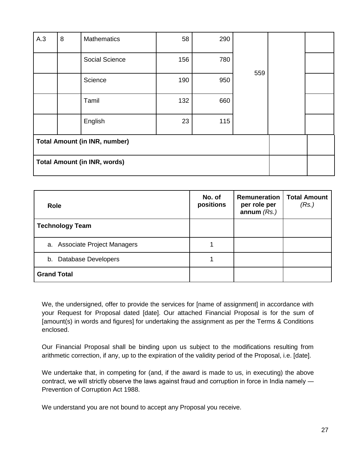| A.3                                  | 8                                   | <b>Mathematics</b> | 58  | 290 |     |  |  |
|--------------------------------------|-------------------------------------|--------------------|-----|-----|-----|--|--|
|                                      |                                     | Social Science     | 156 | 780 |     |  |  |
|                                      |                                     | Science            | 190 | 950 | 559 |  |  |
|                                      |                                     | Tamil              | 132 | 660 |     |  |  |
|                                      |                                     | English            | 23  | 115 |     |  |  |
| <b>Total Amount (in INR, number)</b> |                                     |                    |     |     |     |  |  |
|                                      | <b>Total Amount (in INR, words)</b> |                    |     |     |     |  |  |

| <b>Role</b>                   | No. of<br>positions | <b>Remuneration</b><br>per role per<br>annum $(Rs.)$ | <b>Total Amount</b><br>(Rs.) |
|-------------------------------|---------------------|------------------------------------------------------|------------------------------|
| <b>Technology Team</b>        |                     |                                                      |                              |
| a. Associate Project Managers |                     |                                                      |                              |
| b. Database Developers        |                     |                                                      |                              |
| <b>Grand Total</b>            |                     |                                                      |                              |

We, the undersigned, offer to provide the services for [name of assignment] in accordance with your Request for Proposal dated [date]. Our attached Financial Proposal is for the sum of [amount(s) in words and figures] for undertaking the assignment as per the Terms & Conditions enclosed.

Our Financial Proposal shall be binding upon us subject to the modifications resulting from arithmetic correction, if any, up to the expiration of the validity period of the Proposal, i.e. [date].

We undertake that, in competing for (and, if the award is made to us, in executing) the above contract, we will strictly observe the laws against fraud and corruption in force in India namely ― Prevention of Corruption Act 1988.

We understand you are not bound to accept any Proposal you receive.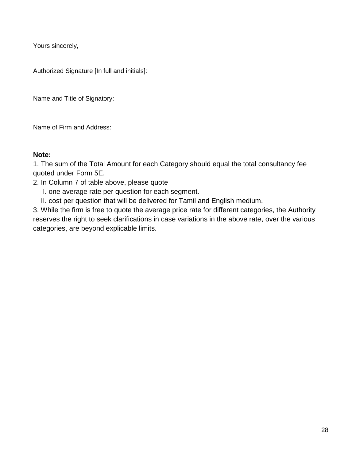Yours sincerely,

Authorized Signature [In full and initials]:

Name and Title of Signatory:

Name of Firm and Address:

### **Note:**

1. The sum of the Total Amount for each Category should equal the total consultancy fee quoted under Form 5E.

- 2. In Column 7 of table above, please quote
	- I. one average rate per question for each segment.
	- II. cost per question that will be delivered for Tamil and English medium.

3. While the firm is free to quote the average price rate for different categories, the Authority reserves the right to seek clarifications in case variations in the above rate, over the various categories, are beyond explicable limits.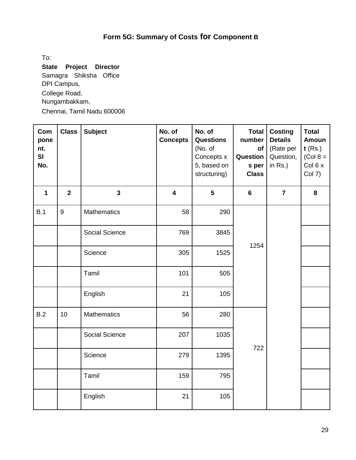## **Form 5G: Summary of Costs for Component B**

To:

**State Project Director**  Samagra Shiksha Office DPI Campus, College Road, Nungambakkam, Chennai, Tamil Nadu 600006

| Com<br>pone<br>nt.<br>SI<br>No. | <b>Class</b>   | <b>Subject</b>     | No. of<br><b>Concepts</b> | No. of<br><b>Questions</b><br>(No. of<br>Concepts x<br>5, based on<br>structuring) | <b>Total</b><br>number<br>of<br>Question<br>s per<br><b>Class</b> | <b>Costing</b><br><b>Details</b><br>(Rate per<br>Question,<br>in Rs.) | <b>Total</b><br><b>Amoun</b><br>$t$ (Rs.)<br>$(Col 8 =$<br>Col 6 x<br><b>Col 7)</b> |
|---------------------------------|----------------|--------------------|---------------------------|------------------------------------------------------------------------------------|-------------------------------------------------------------------|-----------------------------------------------------------------------|-------------------------------------------------------------------------------------|
| $\mathbf 1$                     | $\overline{2}$ | $\mathbf{3}$       | $\overline{\mathbf{4}}$   | $5\phantom{1}$                                                                     | $6\phantom{1}$                                                    | $\overline{7}$                                                        | 8                                                                                   |
| B.1                             | 9              | <b>Mathematics</b> | 58                        | 290                                                                                |                                                                   |                                                                       |                                                                                     |
|                                 |                | Social Science     | 769                       | 3845                                                                               |                                                                   | 1254                                                                  |                                                                                     |
|                                 |                | Science            | 305                       | 1525                                                                               |                                                                   |                                                                       |                                                                                     |
|                                 |                | Tamil              | 101                       | 505                                                                                |                                                                   |                                                                       |                                                                                     |
|                                 |                | English            | 21                        | 105                                                                                |                                                                   |                                                                       |                                                                                     |
| B.2                             | 10             | <b>Mathematics</b> | 56                        | 280                                                                                |                                                                   |                                                                       |                                                                                     |
|                                 |                | Social Science     | 207                       | 1035                                                                               | 722                                                               |                                                                       |                                                                                     |
|                                 |                | Science            | 279                       | 1395                                                                               |                                                                   |                                                                       |                                                                                     |
|                                 |                | Tamil              | 159                       | 795                                                                                |                                                                   |                                                                       |                                                                                     |
|                                 |                | English            | 21                        | 105                                                                                |                                                                   |                                                                       |                                                                                     |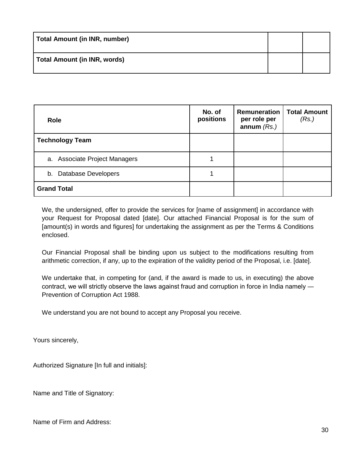| Total Amount (in INR, number) |  |
|-------------------------------|--|
| Total Amount (in INR, words)  |  |

| <b>Role</b>                   | No. of<br>positions | Remuneration<br>per role per<br>annum $(Rs.)$ | <b>Total Amount</b><br>(Rs.) |
|-------------------------------|---------------------|-----------------------------------------------|------------------------------|
| <b>Technology Team</b>        |                     |                                               |                              |
| a. Associate Project Managers |                     |                                               |                              |
| b. Database Developers        |                     |                                               |                              |
| <b>Grand Total</b>            |                     |                                               |                              |

We, the undersigned, offer to provide the services for [name of assignment] in accordance with your Request for Proposal dated [date]. Our attached Financial Proposal is for the sum of [amount(s) in words and figures] for undertaking the assignment as per the Terms & Conditions enclosed.

Our Financial Proposal shall be binding upon us subject to the modifications resulting from arithmetic correction, if any, up to the expiration of the validity period of the Proposal, i.e. [date].

We undertake that, in competing for (and, if the award is made to us, in executing) the above contract, we will strictly observe the laws against fraud and corruption in force in India namely ― Prevention of Corruption Act 1988.

We understand you are not bound to accept any Proposal you receive.

Yours sincerely,

Authorized Signature [In full and initials]:

Name and Title of Signatory:

Name of Firm and Address: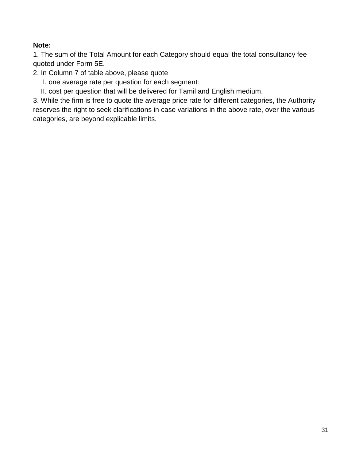### **Note:**

1. The sum of the Total Amount for each Category should equal the total consultancy fee quoted under Form 5E.

2. In Column 7 of table above, please quote

- I. one average rate per question for each segment:
- II. cost per question that will be delivered for Tamil and English medium.

3. While the firm is free to quote the average price rate for different categories, the Authority reserves the right to seek clarifications in case variations in the above rate, over the various categories, are beyond explicable limits.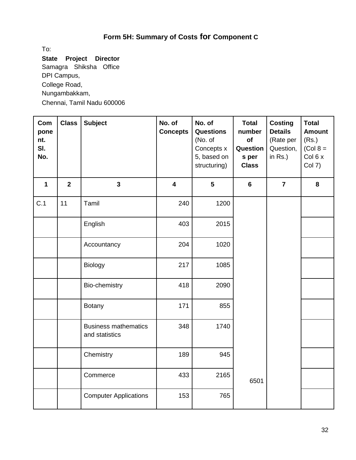## **Form 5H: Summary of Costs for Component C**

To:

**State Project Director**  Samagra Shiksha Office DPI Campus, College Road, Nungambakkam, Chennai, Tamil Nadu 600006

| Com<br>pone<br>nt.<br>SI.<br>No. | <b>Class</b>   | <b>Subject</b>                                | No. of<br><b>Concepts</b> | No. of<br><b>Questions</b><br>(No. of<br>Concepts x<br>5, based on<br>structuring) | <b>Total</b><br>number<br>of<br>Question<br>s per<br><b>Class</b> | <b>Costing</b><br><b>Details</b><br>(Rate per<br>Question,<br>in $Rs.$ ) | <b>Total</b><br><b>Amount</b><br>(Rs.)<br>$(Col 8 =$<br>Col 6 x<br>Col 7) |
|----------------------------------|----------------|-----------------------------------------------|---------------------------|------------------------------------------------------------------------------------|-------------------------------------------------------------------|--------------------------------------------------------------------------|---------------------------------------------------------------------------|
| $\mathbf 1$                      | $\overline{2}$ | $\overline{\mathbf{3}}$                       | $\overline{\mathbf{4}}$   | $5\phantom{a}$                                                                     | $6\phantom{a}$                                                    | $\overline{7}$                                                           | 8                                                                         |
| C.1                              | 11             | Tamil                                         | 240                       | 1200                                                                               |                                                                   |                                                                          |                                                                           |
|                                  |                | English                                       | 403                       | 2015                                                                               |                                                                   |                                                                          |                                                                           |
|                                  |                | Accountancy                                   | 204                       | 1020                                                                               |                                                                   |                                                                          |                                                                           |
|                                  |                | Biology                                       | 217                       | 1085                                                                               |                                                                   |                                                                          |                                                                           |
|                                  |                | Bio-chemistry                                 | 418                       | 2090                                                                               |                                                                   |                                                                          |                                                                           |
|                                  |                | <b>Botany</b>                                 | 171                       | 855                                                                                |                                                                   |                                                                          |                                                                           |
|                                  |                | <b>Business mathematics</b><br>and statistics | 348                       | 1740                                                                               |                                                                   |                                                                          |                                                                           |
|                                  |                | Chemistry                                     | 189                       | 945                                                                                |                                                                   |                                                                          |                                                                           |
|                                  |                | Commerce                                      | 433                       | 2165                                                                               | 6501                                                              |                                                                          |                                                                           |
|                                  |                | <b>Computer Applications</b>                  | 153                       | 765                                                                                |                                                                   |                                                                          |                                                                           |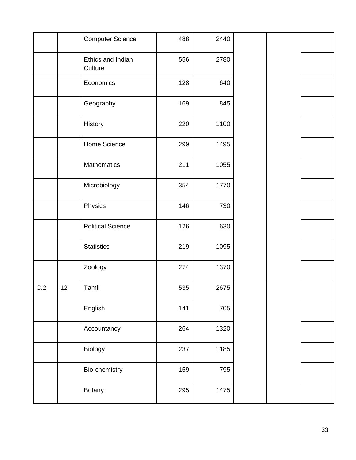|     |    | <b>Computer Science</b>      | 488 | 2440 |  |  |
|-----|----|------------------------------|-----|------|--|--|
|     |    | Ethics and Indian<br>Culture | 556 | 2780 |  |  |
|     |    | Economics                    | 128 | 640  |  |  |
|     |    | Geography                    | 169 | 845  |  |  |
|     |    | History                      | 220 | 1100 |  |  |
|     |    | Home Science                 | 299 | 1495 |  |  |
|     |    | Mathematics                  | 211 | 1055 |  |  |
|     |    | Microbiology                 | 354 | 1770 |  |  |
|     |    | Physics                      | 146 | 730  |  |  |
|     |    | <b>Political Science</b>     | 126 | 630  |  |  |
|     |    | <b>Statistics</b>            | 219 | 1095 |  |  |
|     |    | Zoology                      | 274 | 1370 |  |  |
| C.2 | 12 | Tamil                        | 535 | 2675 |  |  |
|     |    | English                      | 141 | 705  |  |  |
|     |    | Accountancy                  | 264 | 1320 |  |  |
|     |    | Biology                      | 237 | 1185 |  |  |
|     |    | Bio-chemistry                | 159 | 795  |  |  |
|     |    | Botany                       | 295 | 1475 |  |  |
|     |    |                              |     |      |  |  |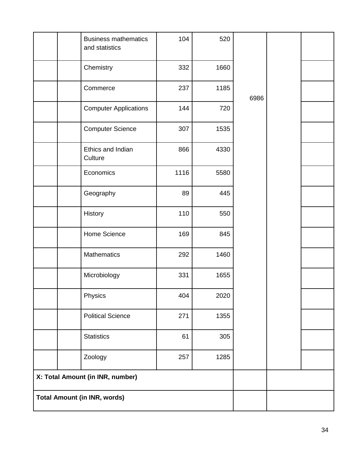|                                     | <b>Business mathematics</b><br>and statistics | 104  | 520  |      |  |
|-------------------------------------|-----------------------------------------------|------|------|------|--|
|                                     | Chemistry                                     | 332  | 1660 |      |  |
|                                     | Commerce                                      | 237  | 1185 | 6986 |  |
|                                     | <b>Computer Applications</b>                  | 144  | 720  |      |  |
|                                     | <b>Computer Science</b>                       | 307  | 1535 |      |  |
|                                     | Ethics and Indian<br>Culture                  | 866  | 4330 |      |  |
|                                     | Economics                                     | 1116 | 5580 |      |  |
|                                     | Geography                                     | 89   | 445  |      |  |
|                                     | History                                       | 110  | 550  |      |  |
|                                     | Home Science                                  | 169  | 845  |      |  |
|                                     | Mathematics                                   | 292  | 1460 |      |  |
|                                     | Microbiology                                  | 331  | 1655 |      |  |
|                                     | Physics                                       | 404  | 2020 |      |  |
|                                     | <b>Political Science</b>                      | 271  | 1355 |      |  |
|                                     | <b>Statistics</b>                             | 61   | 305  |      |  |
|                                     | Zoology                                       | 257  | 1285 |      |  |
|                                     | X: Total Amount (in INR, number)              |      |      |      |  |
| <b>Total Amount (in INR, words)</b> |                                               |      |      |      |  |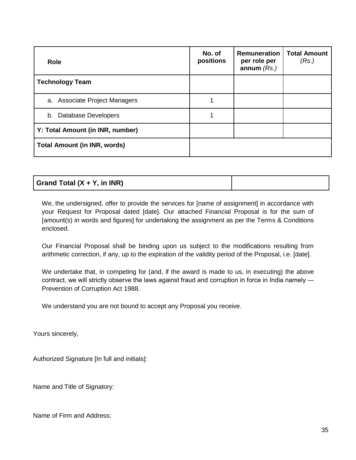| <b>Role</b>                         | No. of<br>positions | <b>Remuneration</b><br>per role per<br>annum $(Rs.)$ | <b>Total Amount</b><br>(Rs.) |
|-------------------------------------|---------------------|------------------------------------------------------|------------------------------|
| <b>Technology Team</b>              |                     |                                                      |                              |
| a. Associate Project Managers       |                     |                                                      |                              |
| b. Database Developers              |                     |                                                      |                              |
| Y: Total Amount (in INR, number)    |                     |                                                      |                              |
| <b>Total Amount (in INR, words)</b> |                     |                                                      |                              |

We, the undersigned, offer to provide the services for [name of assignment] in accordance with your Request for Proposal dated [date]. Our attached Financial Proposal is for the sum of [amount(s) in words and figures] for undertaking the assignment as per the Terms & Conditions enclosed.

Our Financial Proposal shall be binding upon us subject to the modifications resulting from arithmetic correction, if any, up to the expiration of the validity period of the Proposal, i.e. [date].

We undertake that, in competing for (and, if the award is made to us, in executing) the above contract, we will strictly observe the laws against fraud and corruption in force in India namely ― Prevention of Corruption Act 1988.

We understand you are not bound to accept any Proposal you receive.

Yours sincerely,

Authorized Signature [In full and initials]:

Name and Title of Signatory:

Name of Firm and Address: